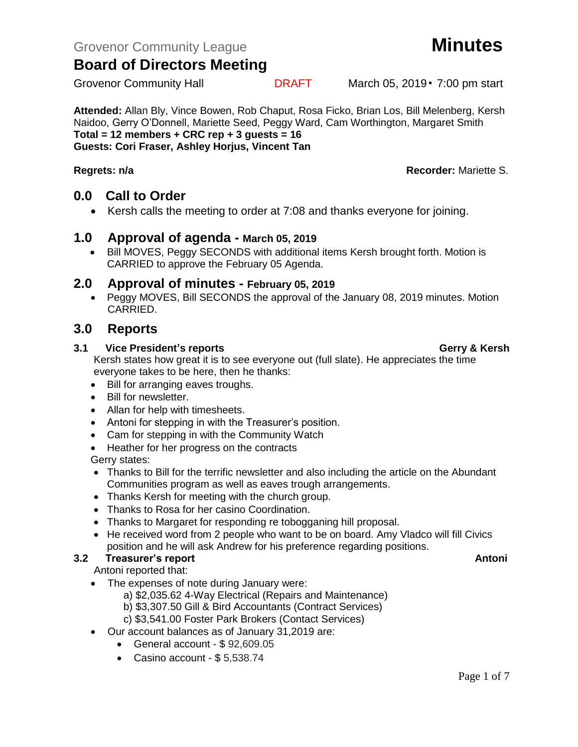**Attended:** Allan Bly, Vince Bowen, Rob Chaput, Rosa Ficko, Brian Los, Bill Melenberg, Kersh Naidoo, Gerry O'Donnell, Mariette Seed, Peggy Ward, Cam Worthington, Margaret Smith **Total = 12 members + CRC rep + 3 guests = 16 Guests: Cori Fraser, Ashley Horjus, Vincent Tan**

### **Regrets: n/a Recorder:** Mariette S.

## **0.0 Call to Order**

• Kersh calls the meeting to order at 7:08 and thanks everyone for joining.

### **1.0 Approval of agenda - March 05, 2019**

• Bill MOVES, Peggy SECONDS with additional items Kersh brought forth. Motion is CARRIED to approve the February 05 Agenda.

### **2.0 Approval of minutes - February 05, 2019**

• Peggy MOVES, Bill SECONDS the approval of the January 08, 2019 minutes. Motion CARRIED.

## **3.0 Reports**

### **3.1 Vice President's reports Gerry & Kersh**

Kersh states how great it is to see everyone out (full slate). He appreciates the time everyone takes to be here, then he thanks:

- Bill for arranging eaves troughs.
- Bill for newsletter.
- Allan for help with timesheets.
- Antoni for stepping in with the Treasurer's position.
- Cam for stepping in with the Community Watch
- Heather for her progress on the contracts

Gerry states:

- Thanks to Bill for the terrific newsletter and also including the article on the Abundant Communities program as well as eaves trough arrangements.
- Thanks Kersh for meeting with the church group.
- Thanks to Rosa for her casino Coordination.
- Thanks to Margaret for responding re tobogganing hill proposal.
- He received word from 2 people who want to be on board. Amy Vladco will fill Civics position and he will ask Andrew for his preference regarding positions.

## **3.2 Freasurer's report Antonic Structure Antonic Structure Antonic Antonic Antonic Antonic Antonic Antonic Antoni**

Antoni reported that:

- The expenses of note during January were:
	- a) \$2,035.62 4-Way Electrical (Repairs and Maintenance)
	- b) \$3,307.50 Gill & Bird Accountants (Contract Services)
	- c) \$3,541.00 Foster Park Brokers (Contact Services)
- Our account balances as of January 31,2019 are:
	- General account \$ 92,609.05
	- Casino account \$5,538.74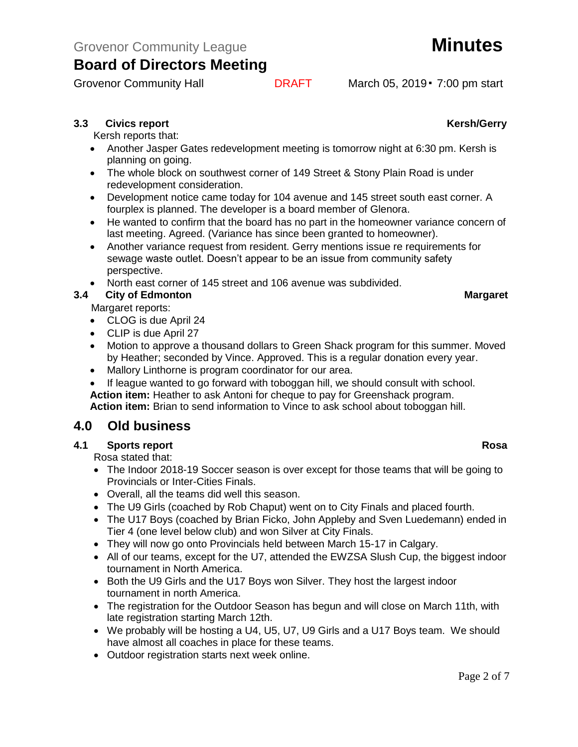## **3.3** Civics report **Kersh/Gerry**

Kersh reports that:

- Another Jasper Gates redevelopment meeting is tomorrow night at 6:30 pm. Kersh is planning on going.
- The whole block on southwest corner of 149 Street & Stony Plain Road is under redevelopment consideration.
- Development notice came today for 104 avenue and 145 street south east corner. A fourplex is planned. The developer is a board member of Glenora.
- He wanted to confirm that the board has no part in the homeowner variance concern of last meeting. Agreed. (Variance has since been granted to homeowner).
- Another variance request from resident. Gerry mentions issue re requirements for sewage waste outlet. Doesn't appear to be an issue from community safety perspective.
- North east corner of 145 street and 106 avenue was subdivided.

## **3.4 City of Edmonton Margaret**

Margaret reports:

- CLOG is due April 24
- CLIP is due April 27
- Motion to approve a thousand dollars to Green Shack program for this summer. Moved by Heather; seconded by Vince. Approved. This is a regular donation every year.
- Mallory Linthorne is program coordinator for our area.
- If league wanted to go forward with toboggan hill, we should consult with school. **Action item:** Heather to ask Antoni for cheque to pay for Greenshack program.

**Action item:** Brian to send information to Vince to ask school about toboggan hill.

# **4.0 Old business**

### **4.1 Sports report Rosa**

Rosa stated that:

- The Indoor 2018-19 Soccer season is over except for those teams that will be going to Provincials or Inter-Cities Finals.
- Overall, all the teams did well this season.
- The U9 Girls (coached by Rob Chaput) went on to City Finals and placed fourth.
- The U17 Boys (coached by Brian Ficko, John Appleby and Sven Luedemann) ended in Tier 4 (one level below club) and won Silver at City Finals.
- They will now go onto Provincials held between March 15-17 in Calgary.
- All of our teams, except for the U7, attended the EWZSA Slush Cup, the biggest indoor tournament in North America.
- Both the U9 Girls and the U17 Boys won Silver. They host the largest indoor tournament in north America.
- The registration for the Outdoor Season has begun and will close on March 11th, with late registration starting March 12th.
- We probably will be hosting a U4, U5, U7, U9 Girls and a U17 Boys team. We should have almost all coaches in place for these teams.
- Outdoor registration starts next week online.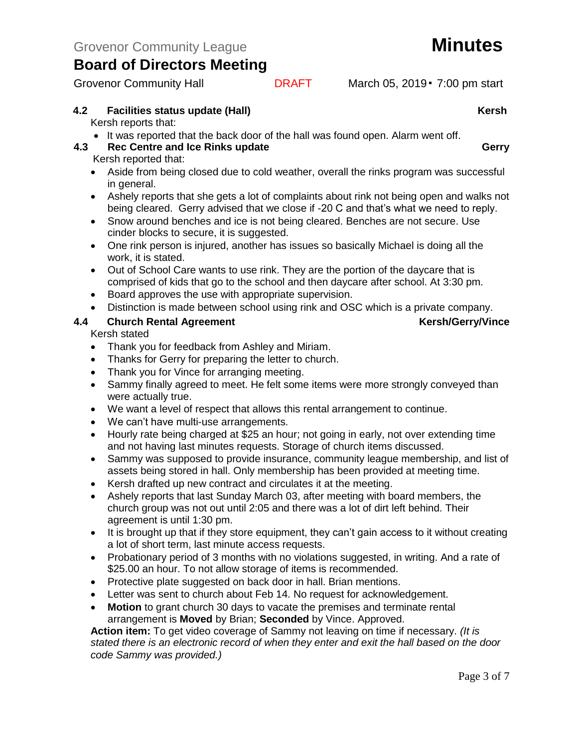Grovenor Community Hall **DRAFT** March 05, 2019 • 7:00 pm start

## **4.2 Facilities status update (Hall)** Allowski Charles Constantine Material Mersh

Kersh reports that:

• It was reported that the back door of the hall was found open. Alarm went off.

# **4.3 Rec Centre and Ice Rinks update Gerry Gerry Gerry**

Kersh reported that:

- Aside from being closed due to cold weather, overall the rinks program was successful in general.
- Ashely reports that she gets a lot of complaints about rink not being open and walks not being cleared. Gerry advised that we close if -20 C and that's what we need to reply.
- Snow around benches and ice is not being cleared. Benches are not secure. Use cinder blocks to secure, it is suggested.
- One rink person is injured, another has issues so basically Michael is doing all the work, it is stated.
- Out of School Care wants to use rink. They are the portion of the daycare that is comprised of kids that go to the school and then daycare after school. At 3:30 pm.
- Board approves the use with appropriate supervision.
- Distinction is made between school using rink and OSC which is a private company.

## **4.4 Church Rental Agreement Kersh/Gerry/Vince**

Kersh stated

- Thank you for feedback from Ashley and Miriam.
- Thanks for Gerry for preparing the letter to church.
- Thank you for Vince for arranging meeting.
- Sammy finally agreed to meet. He felt some items were more strongly conveyed than were actually true.
- We want a level of respect that allows this rental arrangement to continue.
- We can't have multi-use arrangements.
- Hourly rate being charged at \$25 an hour; not going in early, not over extending time and not having last minutes requests. Storage of church items discussed.
- Sammy was supposed to provide insurance, community league membership, and list of assets being stored in hall. Only membership has been provided at meeting time.
- Kersh drafted up new contract and circulates it at the meeting.
- Ashely reports that last Sunday March 03, after meeting with board members, the church group was not out until 2:05 and there was a lot of dirt left behind. Their agreement is until 1:30 pm.
- It is brought up that if they store equipment, they can't gain access to it without creating a lot of short term, last minute access requests.
- Probationary period of 3 months with no violations suggested, in writing. And a rate of \$25.00 an hour. To not allow storage of items is recommended.
- Protective plate suggested on back door in hall. Brian mentions.
- Letter was sent to church about Feb 14. No request for acknowledgement.
- **Motion** to grant church 30 days to vacate the premises and terminate rental arrangement is **Moved** by Brian; **Seconded** by Vince. Approved.

**Action item:** To get video coverage of Sammy not leaving on time if necessary. *(It is stated there is an electronic record of when they enter and exit the hall based on the door code Sammy was provided.)*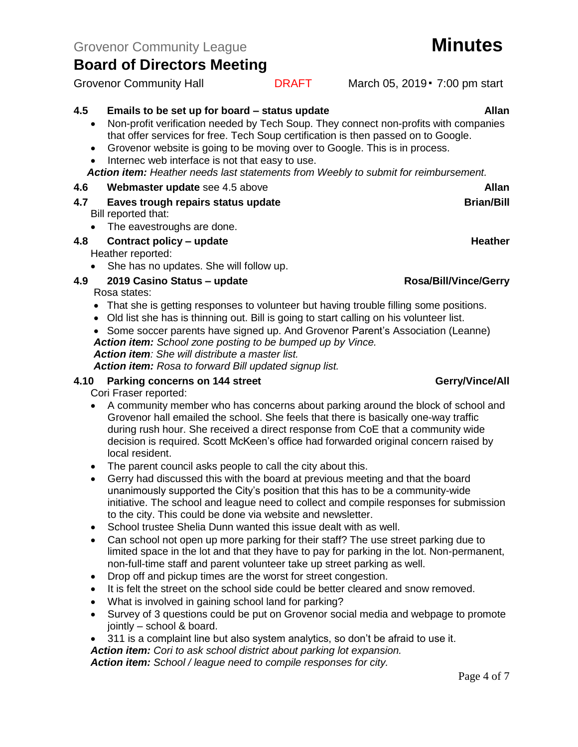- **4.5 Emails to be set up for board – status update Allan**
	- Non-profit verification needed by Tech Soup. They connect non-profits with companies that offer services for free. Tech Soup certification is then passed on to Google.
	- Grovenor website is going to be moving over to Google. This is in process.
	- Internec web interface is not that easy to use.

*Action item: Heather needs last statements from Weebly to submit for reimbursement.*

### **4.6 Webmaster update** see 4.5 above **Allan**

- **4.7 Eaves trough repairs status update Brian/Bill Brian/Bill** Bill reported that:
	- The eavestroughs are done.

# **4.8 Contract policy – update Heather**

Heather reported:

• She has no updates. She will follow up.

### **4.9 2019 Casino Status – update Rosa/Bill/Vince/Gerry**

Rosa states:

- That she is getting responses to volunteer but having trouble filling some positions.
- Old list she has is thinning out. Bill is going to start calling on his volunteer list.
- Some soccer parents have signed up. And Grovenor Parent's Association (Leanne) *Action item: School zone posting to be bumped up by Vince.*

*Action item: She will distribute a master list.*

*Action item: Rosa to forward Bill updated signup list.*

### **4.10 Parking concerns on 144 street Gerry/Vince/All**

Cori Fraser reported:

- A community member who has concerns about parking around the block of school and Grovenor hall emailed the school. She feels that there is basically one-way traffic during rush hour. She received a direct response from CoE that a community wide decision is required. Scott McKeen's office had forwarded original concern raised by local resident.
- The parent council asks people to call the city about this.
- Gerry had discussed this with the board at previous meeting and that the board unanimously supported the City's position that this has to be a community-wide initiative. The school and league need to collect and compile responses for submission to the city. This could be done via website and newsletter.
- School trustee Shelia Dunn wanted this issue dealt with as well.
- Can school not open up more parking for their staff? The use street parking due to limited space in the lot and that they have to pay for parking in the lot. Non-permanent, non-full-time staff and parent volunteer take up street parking as well.
- Drop off and pickup times are the worst for street congestion.
- It is felt the street on the school side could be better cleared and snow removed.
- What is involved in gaining school land for parking?
- Survey of 3 questions could be put on Grovenor social media and webpage to promote jointly – school & board.
- 311 is a complaint line but also system analytics, so don't be afraid to use it.

*Action item: Cori to ask school district about parking lot expansion.*

*Action item: School / league need to compile responses for city.*

Page 4 of 7

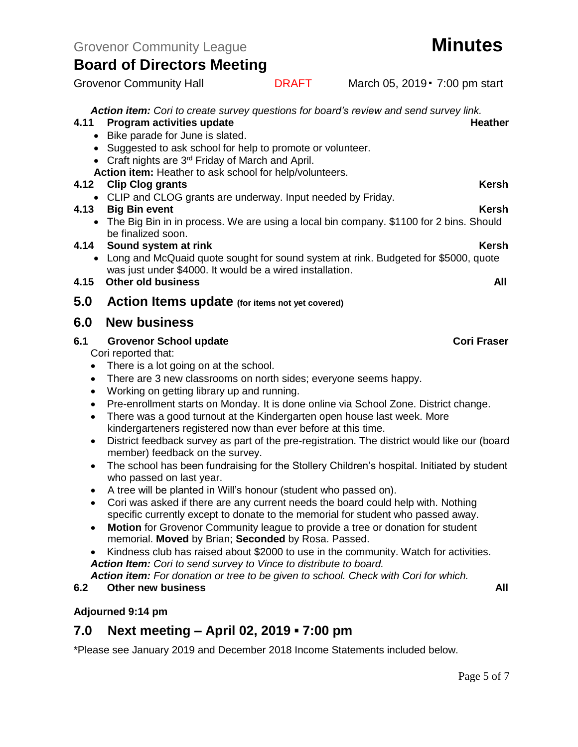*Action item: Cori to create survey questions for board's review and send survey link.* 

### **4.11 Program activities update Actional Activities with the experimental expansion of the Heather**

- Bike parade for June is slated.
- Suggested to ask school for help to promote or volunteer.
- Craft nights are 3<sup>rd</sup> Friday of March and April.
- **Action item:** Heather to ask school for help/volunteers.

### **4.12 Clip Clog grants Kersh** Kersh Kersh Kersh Kersh Kersh Kersh Kersh Kersh Kersh Kersh Kersh Kersh Kersh Kersh

• CLIP and CLOG grants are underway. Input needed by Friday.

### **4.13 Big Bin event Kersh**

• The Big Bin in in process. We are using a local bin company. \$1100 for 2 bins. Should be finalized soon.

### **4.14 Sound system at rink** Kersh Kersh Kersh Kersh

• Long and McQuaid quote sought for sound system at rink. Budgeted for \$5000, quote was just under \$4000. It would be a wired installation.

### **4.15 Other old business All**

**5.0 Action Items update (for items not yet covered)**

## **6.0 New business**

### **6.1 Grovenor School update Cori Fraser**

Cori reported that:

- There is a lot going on at the school.
- There are 3 new classrooms on north sides; everyone seems happy.
- Working on getting library up and running.
- Pre-enrollment starts on Monday. It is done online via School Zone. District change.
- There was a good turnout at the Kindergarten open house last week. More kindergarteners registered now than ever before at this time.
- District feedback survey as part of the pre-registration. The district would like our (board member) feedback on the survey.
- The school has been fundraising for the Stollery Children's hospital. Initiated by student who passed on last year.
- A tree will be planted in Will's honour (student who passed on).
- Cori was asked if there are any current needs the board could help with. Nothing specific currently except to donate to the memorial for student who passed away.
- **Motion** for Grovenor Community league to provide a tree or donation for student memorial. **Moved** by Brian; **Seconded** by Rosa. Passed.
- Kindness club has raised about \$2000 to use in the community. Watch for activities. *Action Item: Cori to send survey to Vince to distribute to board.*

*Action item: For donation or tree to be given to school. Check with Cori for which.*

### **6.2 Other new business All**

### **Adjourned 9:14 pm**

## **7.0 Next meeting – April 02, 2019 ▪ 7:00 pm**

\*Please see January 2019 and December 2018 Income Statements included below.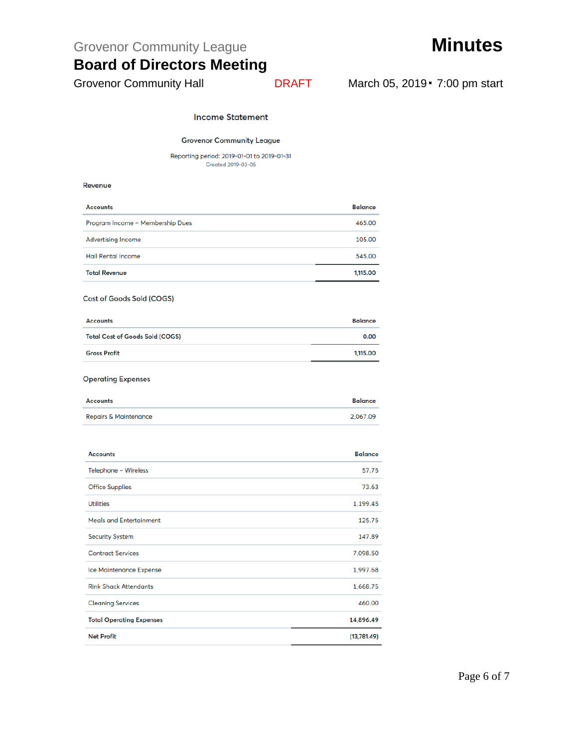Grovenor Community League **Minutes** 

# **Board of Directors Meeting**

Grovenor Community Hall **DRAFT** March 05, 2019 · 7:00 pm start

### **Income Statement**

### **Grovenor Community League**

Reporting period: 2019-01-01 to 2019-01-31 Created 2019-03-05

### Revenue

| <b>Accounts</b>                  | <b>Balance</b> |
|----------------------------------|----------------|
| Program Income - Membership Dues | 465.00         |
| <b>Advertising Income</b>        | 105.00         |
| <b>Hall Rental Income</b>        | 545.00         |
| <b>Total Revenue</b>             | 1,115.00       |

### Cost of Goods Sold (COGS)

| <b>Total Cost of Goods Sold (COGS)</b> | 0.00     |
|----------------------------------------|----------|
| <b>Gross Profit</b>                    | 1,115.00 |

### **Operating Expenses**

| <b>Accounts</b>                  | <b>Balance</b> |
|----------------------------------|----------------|
| <b>Repairs &amp; Maintenance</b> | 2.067.09       |

| <b>Accounts</b>                 | <b>Balance</b> |
|---------------------------------|----------------|
| Telephone - Wireless            | 57.75          |
| <b>Office Supplies</b>          | 73.63          |
| <b>Utilities</b>                | 1,199.45       |
| <b>Meals and Entertainment</b>  | 125.75         |
| <b>Security System</b>          | 147.89         |
| <b>Contract Services</b>        | 7,098.50       |
| <b>Ice Maintenance Expense</b>  | 1,997.68       |
| <b>Rink Shack Attendants</b>    | 1,668.75       |
| <b>Cleaning Services</b>        | 460.00         |
| <b>Total Operating Expenses</b> | 14,896.49      |
| <b>Net Profit</b>               | (13,781.49)    |